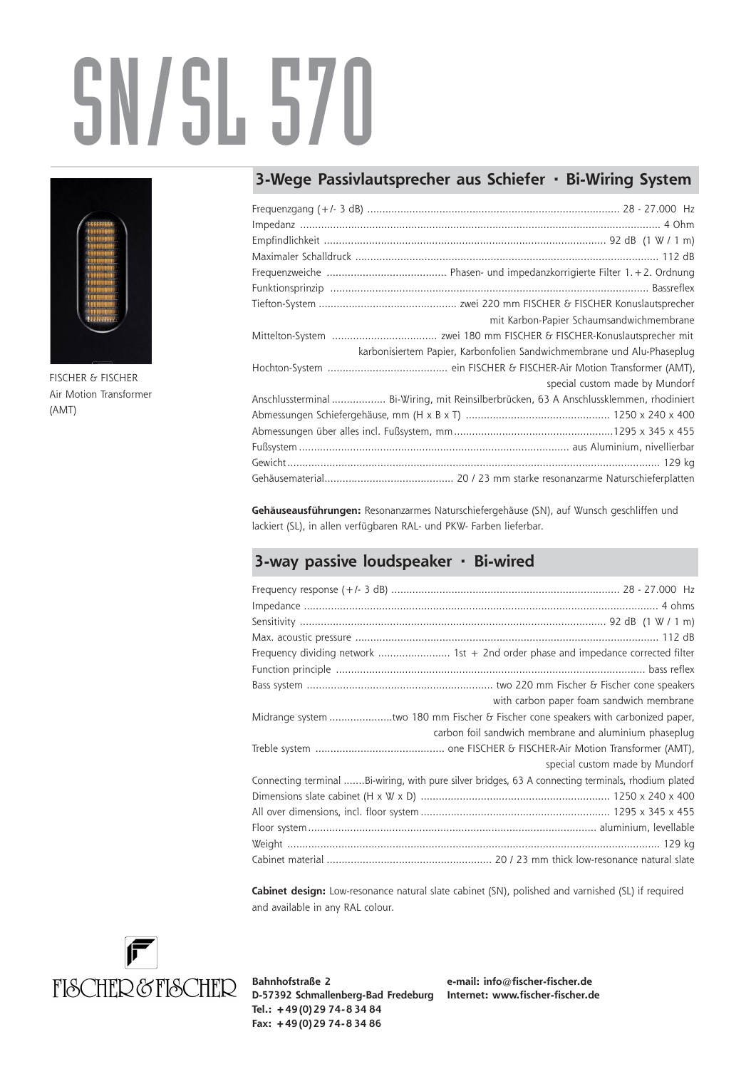## SN/SL 570



FISCHER & FISCHER Air Motion Transformer (AMT)

## **3-Wege Passivlautsprecher aus Schiefer · Bi-Wiring System**

| mit Karbon-Papier Schaumsandwichmembrane                                               |
|----------------------------------------------------------------------------------------|
|                                                                                        |
| karbonisiertem Papier, Karbonfolien Sandwichmembrane und Alu-Phaseplug                 |
|                                                                                        |
| special custom made by Mundorf                                                         |
| Anschlussterminal  Bi-Wiring, mit Reinsilberbrücken, 63 A Anschlussklemmen, rhodiniert |
|                                                                                        |
|                                                                                        |
|                                                                                        |
|                                                                                        |
|                                                                                        |

**Gehäuseausführungen:** Resonanzarmes Naturschiefergehäuse (SN), auf Wunsch geschliffen und lackiert (SL), in allen verfügbaren RAL- und PKW- Farben lieferbar.

## **3-way passive loudspeaker · Bi-wired**

| Frequency dividing network  1st + 2nd order phase and impedance corrected filter                   |  |
|----------------------------------------------------------------------------------------------------|--|
|                                                                                                    |  |
|                                                                                                    |  |
| with carbon paper foam sandwich membrane                                                           |  |
| Midrange system two 180 mm Fischer & Fischer cone speakers with carbonized paper,                  |  |
| carbon foil sandwich membrane and aluminium phaseplug                                              |  |
|                                                                                                    |  |
| special custom made by Mundorf                                                                     |  |
| Connecting terminal Bi-wiring, with pure silver bridges, 63 A connecting terminals, rhodium plated |  |
|                                                                                                    |  |
|                                                                                                    |  |
|                                                                                                    |  |
|                                                                                                    |  |
|                                                                                                    |  |

**Cabinet design:** Low-resonance natural slate cabinet (SN), polished and varnished (SL) if required and available in any RAL colour.



**Bahnhofstraße 2 D-57392 Schmallenberg-Bad Fredeburg Internet: www.fischer-fischer.de Tel.: +49 (0) 29 74- 8 34 84 Fax: +49 (0) 29 74- 8 34 86**

**e-mail: info@fischer-fischer.de**